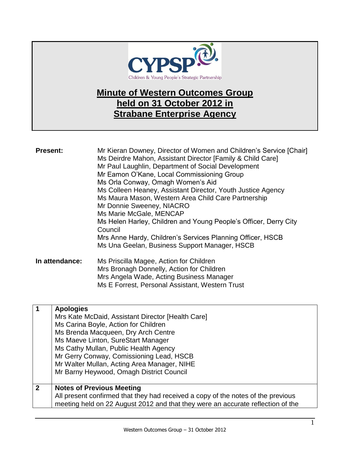

## **Minute of Western Outcomes Group held on 31 October 2012 in Strabane Enterprise Agency**

| <b>Present:</b> | Mr Kieran Downey, Director of Women and Children's Service [Chair]<br>Ms Deirdre Mahon, Assistant Director [Family & Child Care]<br>Mr Paul Laughlin, Department of Social Development<br>Mr Eamon O'Kane, Local Commissioning Group<br>Ms Orla Conway, Omagh Women's Aid<br>Ms Colleen Heaney, Assistant Director, Youth Justice Agency<br>Ms Maura Mason, Western Area Child Care Partnership<br>Mr Donnie Sweeney, NIACRO<br>Ms Marie McGale, MENCAP<br>Ms Helen Harley, Children and Young People's Officer, Derry City<br>Council<br>Mrs Anne Hardy, Children's Services Planning Officer, HSCB<br>Ms Una Geelan, Business Support Manager, HSCB |
|-----------------|-------------------------------------------------------------------------------------------------------------------------------------------------------------------------------------------------------------------------------------------------------------------------------------------------------------------------------------------------------------------------------------------------------------------------------------------------------------------------------------------------------------------------------------------------------------------------------------------------------------------------------------------------------|
| In attendance:  | Ms Priscilla Magee, Action for Children<br>Mrs Bronagh Donnelly, Action for Children<br>Mrs Angela Wade, Acting Business Manager                                                                                                                                                                                                                                                                                                                                                                                                                                                                                                                      |

Ms E Forrest, Personal Assistant, Western Trust

| $\overline{\mathbf{1}}$ | <b>Apologies</b>                                                                 |
|-------------------------|----------------------------------------------------------------------------------|
|                         | Mrs Kate McDaid, Assistant Director [Health Care]                                |
|                         | Ms Carina Boyle, Action for Children                                             |
|                         | Ms Brenda Macqueen, Dry Arch Centre                                              |
|                         | Ms Maeve Linton, SureStart Manager                                               |
|                         | Ms Cathy Mullan, Public Health Agency                                            |
|                         | Mr Gerry Conway, Comissioning Lead, HSCB                                         |
|                         | Mr Walter Mullan, Acting Area Manager, NIHE                                      |
|                         | Mr Barny Heywood, Omagh District Council                                         |
|                         |                                                                                  |
| $\overline{2}$          | <b>Notes of Previous Meeting</b>                                                 |
|                         | All present confirmed that they had received a copy of the notes of the previous |
|                         | meeting held on 22 August 2012 and that they were an accurate reflection of the  |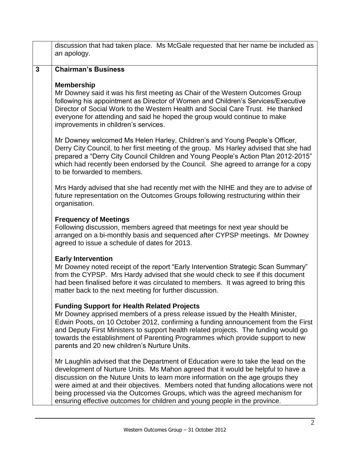|              | discussion that had taken place. Ms McGale requested that her name be included as<br>an apology.                                                                                                                                                                                                                                                                                                                                                                                                             |
|--------------|--------------------------------------------------------------------------------------------------------------------------------------------------------------------------------------------------------------------------------------------------------------------------------------------------------------------------------------------------------------------------------------------------------------------------------------------------------------------------------------------------------------|
| $\mathbf{3}$ | <b>Chairman's Business</b>                                                                                                                                                                                                                                                                                                                                                                                                                                                                                   |
|              | <b>Membership</b><br>Mr Downey said it was his first meeting as Chair of the Western Outcomes Group<br>following his appointment as Director of Women and Children's Services/Executive<br>Director of Social Work to the Western Health and Social Care Trust. He thanked<br>everyone for attending and said he hoped the group would continue to make<br>improvements in children's services.                                                                                                              |
|              | Mr Downey welcomed Ms Helen Harley, Children's and Young People's Officer,<br>Derry City Council, to her first meeting of the group. Ms Harley advised that she had<br>prepared a "Derry City Council Children and Young People's Action Plan 2012-2015"<br>which had recently been endorsed by the Council. She agreed to arrange for a copy<br>to be forwarded to members.                                                                                                                                 |
|              | Mrs Hardy advised that she had recently met with the NIHE and they are to advise of<br>future representation on the Outcomes Groups following restructuring within their<br>organisation.                                                                                                                                                                                                                                                                                                                    |
|              | <b>Frequency of Meetings</b><br>Following discussion, members agreed that meetings for next year should be<br>arranged on a bi-monthly basis and sequenced after CYPSP meetings. Mr Downey<br>agreed to issue a schedule of dates for 2013.                                                                                                                                                                                                                                                                  |
|              | <b>Early Intervention</b><br>Mr Downey noted receipt of the report "Early Intervention Strategic Scan Summary"<br>from the CYPSP. Mrs Hardy advised that she would check to see if this document<br>had been finalised before it was circulated to members. It was agreed to bring this<br>matter back to the next meeting for further discussion.                                                                                                                                                           |
|              | <b>Funding Support for Health Related Projects</b><br>Mr Downey apprised members of a press release issued by the Health Minister,<br>Edwin Poots, on 10 October 2012, confirming a funding announcement from the First<br>and Deputy First Ministers to support health related projects. The funding would go<br>towards the establishment of Parenting Programmes which provide support to new<br>parents and 20 new children's Nurture Units.                                                             |
|              | Mr Laughlin advised that the Department of Education were to take the lead on the<br>development of Nurture Units. Ms Mahon agreed that it would be helpful to have a<br>discussion on the Nuture Units to learn more information on the age groups they<br>were aimed at and their objectives. Members noted that funding allocations were not<br>being processed via the Outcomes Groups, which was the agreed mechanism for<br>ensuring effective outcomes for children and young people in the province. |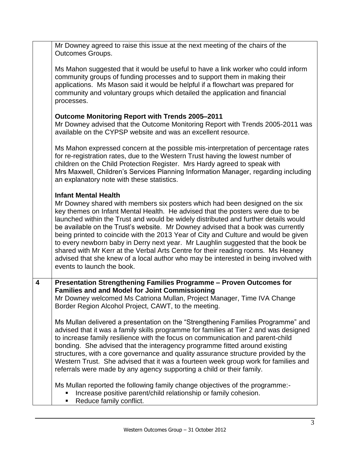|                         | Mr Downey agreed to raise this issue at the next meeting of the chairs of the<br><b>Outcomes Groups.</b>                                                                                                                                                                                                                                                                                                                                                                                                                                                                                                                                                                                                                                                      |
|-------------------------|---------------------------------------------------------------------------------------------------------------------------------------------------------------------------------------------------------------------------------------------------------------------------------------------------------------------------------------------------------------------------------------------------------------------------------------------------------------------------------------------------------------------------------------------------------------------------------------------------------------------------------------------------------------------------------------------------------------------------------------------------------------|
|                         | Ms Mahon suggested that it would be useful to have a link worker who could inform<br>community groups of funding processes and to support them in making their<br>applications. Ms Mason said it would be helpful if a flowchart was prepared for<br>community and voluntary groups which detailed the application and financial<br>processes.                                                                                                                                                                                                                                                                                                                                                                                                                |
|                         | <b>Outcome Monitoring Report with Trends 2005-2011</b><br>Mr Downey advised that the Outcome Monitoring Report with Trends 2005-2011 was<br>available on the CYPSP website and was an excellent resource.                                                                                                                                                                                                                                                                                                                                                                                                                                                                                                                                                     |
|                         | Ms Mahon expressed concern at the possible mis-interpretation of percentage rates<br>for re-registration rates, due to the Western Trust having the lowest number of<br>children on the Child Protection Register. Mrs Hardy agreed to speak with<br>Mrs Maxwell, Children's Services Planning Information Manager, regarding including<br>an explanatory note with these statistics.                                                                                                                                                                                                                                                                                                                                                                         |
|                         | <b>Infant Mental Health</b><br>Mr Downey shared with members six posters which had been designed on the six<br>key themes on Infant Mental Health. He advised that the posters were due to be<br>launched within the Trust and would be widely distributed and further details would<br>be available on the Trust's website. Mr Downey advised that a book was currently<br>being printed to coincide with the 2013 Year of City and Culture and would be given<br>to every newborn baby in Derry next year. Mr Laughlin suggested that the book be<br>shared with Mr Kerr at the Verbal Arts Centre for their reading rooms. Ms Heaney<br>advised that she knew of a local author who may be interested in being involved with<br>events to launch the book. |
| $\overline{\mathbf{4}}$ | Presentation Strengthening Families Programme - Proven Outcomes for<br><b>Families and and Model for Joint Commissioning</b><br>Mr Downey welcomed Ms Catriona Mullan, Project Manager, Time IVA Change<br>Border Region Alcohol Project, CAWT, to the meeting.                                                                                                                                                                                                                                                                                                                                                                                                                                                                                               |
|                         | Ms Mullan delivered a presentation on the "Strengthening Families Programme" and<br>advised that it was a family skills programme for families at Tier 2 and was designed<br>to increase family resilience with the focus on communication and parent-child<br>bonding. She advised that the interagency programme fitted around existing<br>structures, with a core governance and quality assurance structure provided by the<br>Western Trust. She advised that it was a fourteen week group work for families and<br>referrals were made by any agency supporting a child or their family.                                                                                                                                                                |
|                         | Ms Mullan reported the following family change objectives of the programme:-<br>Increase positive parent/child relationship or family cohesion.<br>Reduce family conflict.                                                                                                                                                                                                                                                                                                                                                                                                                                                                                                                                                                                    |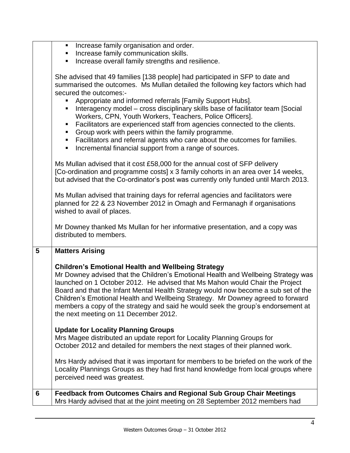|                 | Increase family organisation and order.                                                                                                                                                                                                                                                                                                                                                                                                                                                                                                                                                                                                                                                           |
|-----------------|---------------------------------------------------------------------------------------------------------------------------------------------------------------------------------------------------------------------------------------------------------------------------------------------------------------------------------------------------------------------------------------------------------------------------------------------------------------------------------------------------------------------------------------------------------------------------------------------------------------------------------------------------------------------------------------------------|
|                 | Increase family communication skills.<br>п                                                                                                                                                                                                                                                                                                                                                                                                                                                                                                                                                                                                                                                        |
|                 | Increase overall family strengths and resilience.<br>٠                                                                                                                                                                                                                                                                                                                                                                                                                                                                                                                                                                                                                                            |
|                 | She advised that 49 families [138 people] had participated in SFP to date and<br>summarised the outcomes. Ms Mullan detailed the following key factors which had<br>secured the outcomes:-<br>Appropriate and informed referrals [Family Support Hubs].<br>Interagency model - cross disciplinary skills base of facilitator team [Social]<br>Workers, CPN, Youth Workers, Teachers, Police Officers].<br>Facilitators are experienced staff from agencies connected to the clients.<br>п<br>Group work with peers within the family programme.<br>п<br>Facilitators and referral agents who care about the outcomes for families.<br>ш<br>Incremental financial support from a range of sources. |
|                 | Ms Mullan advised that it cost £58,000 for the annual cost of SFP delivery<br>[Co-ordination and programme costs] x 3 family cohorts in an area over 14 weeks,<br>but advised that the Co-ordinator's post was currently only funded until March 2013.                                                                                                                                                                                                                                                                                                                                                                                                                                            |
|                 | Ms Mullan advised that training days for referral agencies and facilitators were<br>planned for 22 & 23 November 2012 in Omagh and Fermanagh if organisations<br>wished to avail of places.                                                                                                                                                                                                                                                                                                                                                                                                                                                                                                       |
|                 | Mr Downey thanked Ms Mullan for her informative presentation, and a copy was<br>distributed to members.                                                                                                                                                                                                                                                                                                                                                                                                                                                                                                                                                                                           |
| $5\phantom{.0}$ | <b>Matters Arising</b>                                                                                                                                                                                                                                                                                                                                                                                                                                                                                                                                                                                                                                                                            |
|                 | <b>Children's Emotional Health and Wellbeing Strategy</b><br>Mr Downey advised that the Children's Emotional Health and Wellbeing Strategy was<br>launched on 1 October 2012. He advised that Ms Mahon would Chair the Project<br>Board and that the Infant Mental Health Strategy would now become a sub set of the<br>Children's Emotional Health and Wellbeing Strategy. Mr Downey agreed to forward<br>members a copy of the strategy and said he would seek the group's endorsement at<br>the next meeting on 11 December 2012.                                                                                                                                                              |
|                 | <b>Update for Locality Planning Groups</b><br>Mrs Magee distributed an update report for Locality Planning Groups for<br>October 2012 and detailed for members the next stages of their planned work.                                                                                                                                                                                                                                                                                                                                                                                                                                                                                             |
|                 | Mrs Hardy advised that it was important for members to be briefed on the work of the<br>Locality Plannings Groups as they had first hand knowledge from local groups where<br>perceived need was greatest.                                                                                                                                                                                                                                                                                                                                                                                                                                                                                        |
|                 |                                                                                                                                                                                                                                                                                                                                                                                                                                                                                                                                                                                                                                                                                                   |
| 6               | <b>Feedback from Outcomes Chairs and Regional Sub Group Chair Meetings</b><br>Mrs Hardy advised that at the joint meeting on 28 September 2012 members had                                                                                                                                                                                                                                                                                                                                                                                                                                                                                                                                        |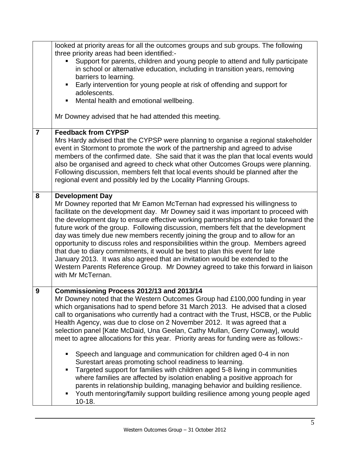|                | looked at priority areas for all the outcomes groups and sub groups. The following<br>three priority areas had been identified:-<br>Support for parents, children and young people to attend and fully participate<br>in school or alternative education, including in transition years, removing<br>barriers to learning.<br>Early intervention for young people at risk of offending and support for<br>adolescents.<br>Mental health and emotional wellbeing.<br>Mr Downey advised that he had attended this meeting.                                                                                                                                                                                                                                                                                                                                                                                                                                                                                                          |
|----------------|-----------------------------------------------------------------------------------------------------------------------------------------------------------------------------------------------------------------------------------------------------------------------------------------------------------------------------------------------------------------------------------------------------------------------------------------------------------------------------------------------------------------------------------------------------------------------------------------------------------------------------------------------------------------------------------------------------------------------------------------------------------------------------------------------------------------------------------------------------------------------------------------------------------------------------------------------------------------------------------------------------------------------------------|
| $\overline{7}$ | <b>Feedback from CYPSP</b><br>Mrs Hardy advised that the CYPSP were planning to organise a regional stakeholder<br>event in Stormont to promote the work of the partnership and agreed to advise<br>members of the confirmed date. She said that it was the plan that local events would<br>also be organised and agreed to check what other Outcomes Groups were planning.<br>Following discussion, members felt that local events should be planned after the<br>regional event and possibly led by the Locality Planning Groups.                                                                                                                                                                                                                                                                                                                                                                                                                                                                                               |
| 8              | <b>Development Day</b><br>Mr Downey reported that Mr Eamon McTernan had expressed his willingness to<br>facilitate on the development day. Mr Downey said it was important to proceed with<br>the development day to ensure effective working partnerships and to take forward the<br>future work of the group. Following discussion, members felt that the development<br>day was timely due new members recently joining the group and to allow for an<br>opportunity to discuss roles and responsibilities within the group. Members agreed<br>that due to diary commitments, it would be best to plan this event for late<br>January 2013. It was also agreed that an invitation would be extended to the<br>Western Parents Reference Group. Mr Downey agreed to take this forward in liaison<br>with Mr McTernan.                                                                                                                                                                                                           |
| 9              | Commissioning Process 2012/13 and 2013/14<br>Mr Downey noted that the Western Outcomes Group had £100,000 funding in year<br>which organisations had to spend before 31 March 2013. He advised that a closed<br>call to organisations who currently had a contract with the Trust, HSCB, or the Public<br>Health Agency, was due to close on 2 November 2012. It was agreed that a<br>selection panel [Kate McDaid, Una Geelan, Cathy Mullan, Gerry Conway], would<br>meet to agree allocations for this year. Priority areas for funding were as follows:-<br>Speech and language and communication for children aged 0-4 in non<br>Surestart areas promoting school readiness to learning.<br>Targeted support for families with children aged 5-8 living in communities<br>where families are affected by isolation enabling a positive approach for<br>parents in relationship building, managing behavior and building resilience.<br>Youth mentoring/family support building resilience among young people aged<br>$10-18.$ |